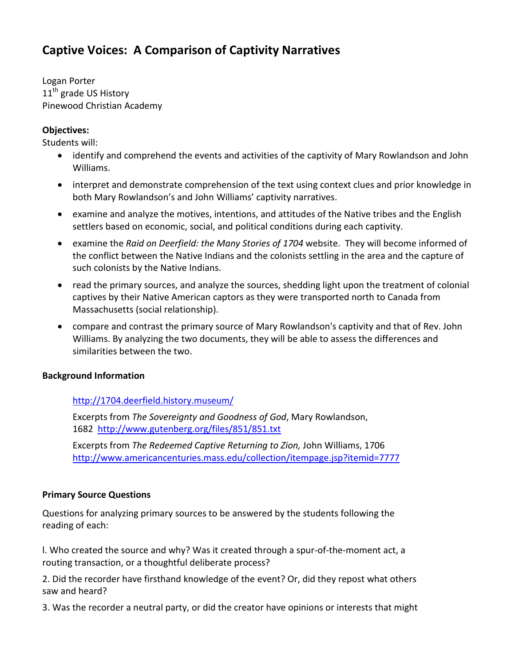# **Captive Voices: A Comparison of Captivity Narratives**

Logan Porter 11<sup>th</sup> grade US History Pinewood Christian Academy

### **Objectives:**

Students will:

- identify and comprehend the events and activities of the captivity of Mary Rowlandson and John Williams.
- interpret and demonstrate comprehension of the text using context clues and prior knowledge in both Mary Rowlandson's and John Williams' captivity narratives.
- examine and analyze the motives, intentions, and attitudes of the Native tribes and the English settlers based on economic, social, and political conditions during each captivity.
- examine the *Raid on Deerfield: the Many Stories of 1704* website. They will become informed of the conflict between the Native Indians and the colonists settling in the area and the capture of such colonists by the Native Indians.
- read the primary sources, and analyze the sources, shedding light upon the treatment of colonial captives by their Native American captors as they were transported north to Canada from Massachusetts (social relationship).
- compare and contrast the primary source of Mary Rowlandson's captivity and that of Rev. John Williams. By analyzing the two documents, they will be able to assess the differences and similarities between the two.

### **Background Information**

### <http://1704.deerfield.history.museum/>

Excerpts from *The Sovereignty and Goodness of God*, Mary Rowlandson, 1682 <http://www.gutenberg.org/files/851/851.txt>

Excerpts from *The Redeemed Captive Returning to Zion,* John Williams, 1706 <http://www.americancenturies.mass.edu/collection/itempage.jsp?itemid=7777>

### **Primary Source Questions**

Questions for analyzing primary sources to be answered by the students following the reading of each:

l. Who created the source and why? Was it created through a spur-of-the-moment act, a routing transaction, or a thoughtful deliberate process?

2. Did the recorder have firsthand knowledge of the event? Or, did they repost what others saw and heard?

3. Was the recorder a neutral party, or did the creator have opinions or interests that might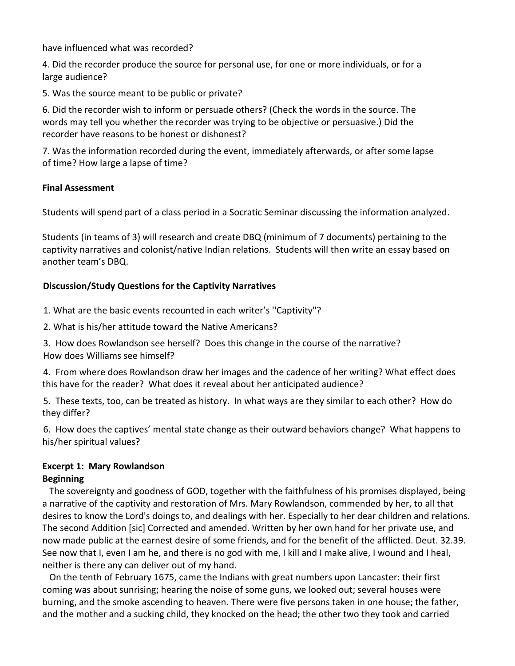have influenced what was recorded?

4. Did the recorder produce the source for personal use, for one or more individuals, or for a large audience?

5. Was the source meant to be public or private?

6. Did the recorder wish to inform or persuade others? (Check the words in the source. The words may tell you whether the recorder was trying to be objective or persuasive.) Did the recorder have reasons to be honest or dishonest?

7. Was the information recorded during the event, immediately afterwards, or after some lapse of time? How large a lapse of time?

### **Final Assessment**

Students will spend part of a class period in a Socratic Seminar discussing the information analyzed.

Students (in teams of 3) will research and create DBQ (minimum of 7 documents) pertaining to the captivity narratives and colonist/native Indian relations. Students will then write an essay based on another team's DBQ.

### **Discussion/Study Questions for the Captivity Narratives**

1. What are the basic events recounted in each writer's ''Captivity"?

2. What is his/her attitude toward the Native Americans?

3. How does Rowlandson see herself? Does this change in the course of the narrative? How does Williams see himself?

4. From where does Rowlandson draw her images and the cadence of her writing? What effect does this have for the reader? What does it reveal about her anticipated audience?

5. These texts, too, can be treated as history. In what ways are they similar to each other? How do they differ?

6. How does the captives' mental state change as their outward behaviors change? What happens to his/her spiritual values?

### **Excerpt 1: Mary Rowlandson Beginning**

 The sovereignty and goodness of GOD, together with the faithfulness of his promises displayed, being a narrative of the captivity and restoration of Mrs. Mary Rowlandson, commended by her, to all that desires to know the Lord's doings to, and dealings with her. Especially to her dear children and relations. The second Addition [sic] Corrected and amended. Written by her own hand for her private use, and now made public at the earnest desire of some friends, and for the benefit of the afflicted. Deut. 32.39. See now that I, even I am he, and there is no god with me, I kill and I make alive, I wound and I heal, neither is there any can deliver out of my hand.

 On the tenth of February 1675, came the Indians with great numbers upon Lancaster: their first coming was about sunrising; hearing the noise of some guns, we looked out; several houses were burning, and the smoke ascending to heaven. There were five persons taken in one house; the father, and the mother and a sucking child, they knocked on the head; the other two they took and carried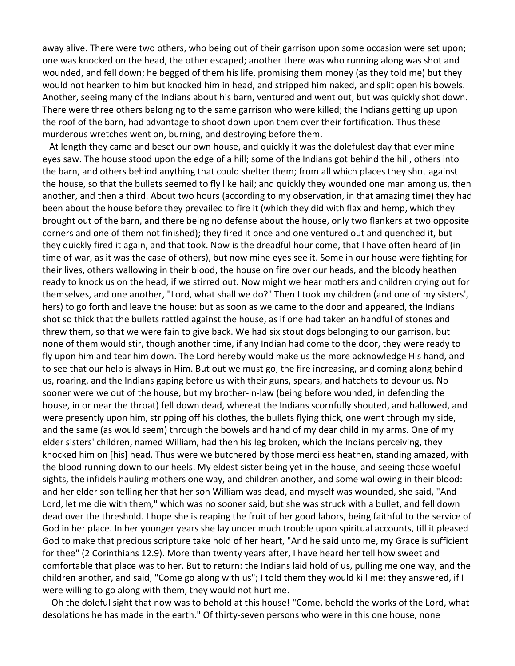away alive. There were two others, who being out of their garrison upon some occasion were set upon; one was knocked on the head, the other escaped; another there was who running along was shot and wounded, and fell down; he begged of them his life, promising them money (as they told me) but they would not hearken to him but knocked him in head, and stripped him naked, and split open his bowels. Another, seeing many of the Indians about his barn, ventured and went out, but was quickly shot down. There were three others belonging to the same garrison who were killed; the Indians getting up upon the roof of the barn, had advantage to shoot down upon them over their fortification. Thus these murderous wretches went on, burning, and destroying before them.

 At length they came and beset our own house, and quickly it was the dolefulest day that ever mine eyes saw. The house stood upon the edge of a hill; some of the Indians got behind the hill, others into the barn, and others behind anything that could shelter them; from all which places they shot against the house, so that the bullets seemed to fly like hail; and quickly they wounded one man among us, then another, and then a third. About two hours (according to my observation, in that amazing time) they had been about the house before they prevailed to fire it (which they did with flax and hemp, which they brought out of the barn, and there being no defense about the house, only two flankers at two opposite corners and one of them not finished); they fired it once and one ventured out and quenched it, but they quickly fired it again, and that took. Now is the dreadful hour come, that I have often heard of (in time of war, as it was the case of others), but now mine eyes see it. Some in our house were fighting for their lives, others wallowing in their blood, the house on fire over our heads, and the bloody heathen ready to knock us on the head, if we stirred out. Now might we hear mothers and children crying out for themselves, and one another, "Lord, what shall we do?" Then I took my children (and one of my sisters', hers) to go forth and leave the house: but as soon as we came to the door and appeared, the Indians shot so thick that the bullets rattled against the house, as if one had taken an handful of stones and threw them, so that we were fain to give back. We had six stout dogs belonging to our garrison, but none of them would stir, though another time, if any Indian had come to the door, they were ready to fly upon him and tear him down. The Lord hereby would make us the more acknowledge His hand, and to see that our help is always in Him. But out we must go, the fire increasing, and coming along behind us, roaring, and the Indians gaping before us with their guns, spears, and hatchets to devour us. No sooner were we out of the house, but my brother-in-law (being before wounded, in defending the house, in or near the throat) fell down dead, whereat the Indians scornfully shouted, and hallowed, and were presently upon him, stripping off his clothes, the bullets flying thick, one went through my side, and the same (as would seem) through the bowels and hand of my dear child in my arms. One of my elder sisters' children, named William, had then his leg broken, which the Indians perceiving, they knocked him on [his] head. Thus were we butchered by those merciless heathen, standing amazed, with the blood running down to our heels. My eldest sister being yet in the house, and seeing those woeful sights, the infidels hauling mothers one way, and children another, and some wallowing in their blood: and her elder son telling her that her son William was dead, and myself was wounded, she said, "And Lord, let me die with them," which was no sooner said, but she was struck with a bullet, and fell down dead over the threshold. I hope she is reaping the fruit of her good labors, being faithful to the service of God in her place. In her younger years she lay under much trouble upon spiritual accounts, till it pleased God to make that precious scripture take hold of her heart, "And he said unto me, my Grace is sufficient for thee" (2 Corinthians 12.9). More than twenty years after, I have heard her tell how sweet and comfortable that place was to her. But to return: the Indians laid hold of us, pulling me one way, and the children another, and said, "Come go along with us"; I told them they would kill me: they answered, if I were willing to go along with them, they would not hurt me.

 Oh the doleful sight that now was to behold at this house! "Come, behold the works of the Lord, what desolations he has made in the earth." Of thirty-seven persons who were in this one house, none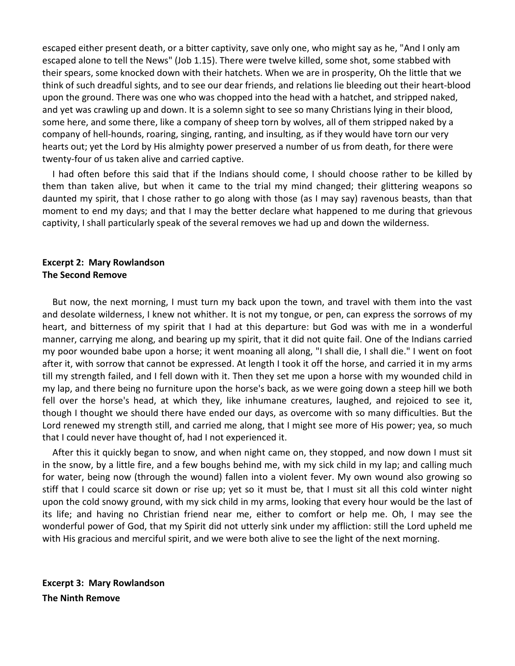escaped either present death, or a bitter captivity, save only one, who might say as he, "And I only am escaped alone to tell the News" (Job 1.15). There were twelve killed, some shot, some stabbed with their spears, some knocked down with their hatchets. When we are in prosperity, Oh the little that we think of such dreadful sights, and to see our dear friends, and relations lie bleeding out their heart-blood upon the ground. There was one who was chopped into the head with a hatchet, and stripped naked, and yet was crawling up and down. It is a solemn sight to see so many Christians lying in their blood, some here, and some there, like a company of sheep torn by wolves, all of them stripped naked by a company of hell-hounds, roaring, singing, ranting, and insulting, as if they would have torn our very hearts out; yet the Lord by His almighty power preserved a number of us from death, for there were twenty-four of us taken alive and carried captive.

I had often before this said that if the Indians should come, I should choose rather to be killed by them than taken alive, but when it came to the trial my mind changed; their glittering weapons so daunted my spirit, that I chose rather to go along with those (as I may say) ravenous beasts, than that moment to end my days; and that I may the better declare what happened to me during that grievous captivity, I shall particularly speak of the several removes we had up and down the wilderness.

### **Excerpt 2: Mary Rowlandson The Second Remove**

But now, the next morning, I must turn my back upon the town, and travel with them into the vast and desolate wilderness, I knew not whither. It is not my tongue, or pen, can express the sorrows of my heart, and bitterness of my spirit that I had at this departure: but God was with me in a wonderful manner, carrying me along, and bearing up my spirit, that it did not quite fail. One of the Indians carried my poor wounded babe upon a horse; it went moaning all along, "I shall die, I shall die." I went on foot after it, with sorrow that cannot be expressed. At length I took it off the horse, and carried it in my arms till my strength failed, and I fell down with it. Then they set me upon a horse with my wounded child in my lap, and there being no furniture upon the horse's back, as we were going down a steep hill we both fell over the horse's head, at which they, like inhumane creatures, laughed, and rejoiced to see it, though I thought we should there have ended our days, as overcome with so many difficulties. But the Lord renewed my strength still, and carried me along, that I might see more of His power; yea, so much that I could never have thought of, had I not experienced it.

After this it quickly began to snow, and when night came on, they stopped, and now down I must sit in the snow, by a little fire, and a few boughs behind me, with my sick child in my lap; and calling much for water, being now (through the wound) fallen into a violent fever. My own wound also growing so stiff that I could scarce sit down or rise up; yet so it must be, that I must sit all this cold winter night upon the cold snowy ground, with my sick child in my arms, looking that every hour would be the last of its life; and having no Christian friend near me, either to comfort or help me. Oh, I may see the wonderful power of God, that my Spirit did not utterly sink under my affliction: still the Lord upheld me with His gracious and merciful spirit, and we were both alive to see the light of the next morning.

**Excerpt 3: Mary Rowlandson The Ninth Remove**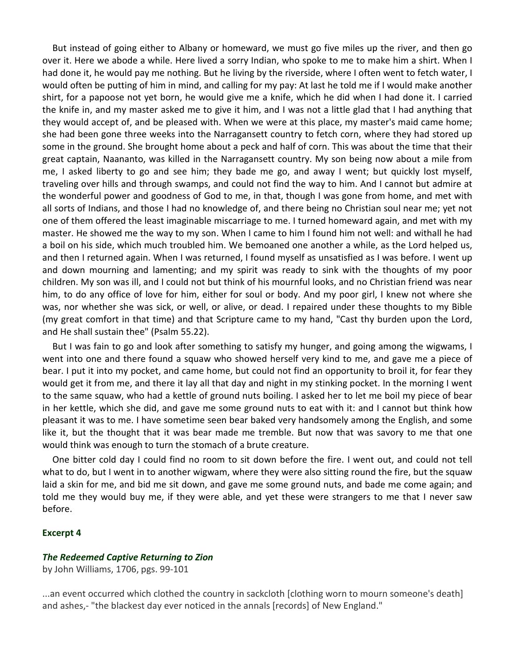But instead of going either to Albany or homeward, we must go five miles up the river, and then go over it. Here we abode a while. Here lived a sorry Indian, who spoke to me to make him a shirt. When I had done it, he would pay me nothing. But he living by the riverside, where I often went to fetch water, I would often be putting of him in mind, and calling for my pay: At last he told me if I would make another shirt, for a papoose not yet born, he would give me a knife, which he did when I had done it. I carried the knife in, and my master asked me to give it him, and I was not a little glad that I had anything that they would accept of, and be pleased with. When we were at this place, my master's maid came home; she had been gone three weeks into the Narragansett country to fetch corn, where they had stored up some in the ground. She brought home about a peck and half of corn. This was about the time that their great captain, Naananto, was killed in the Narragansett country. My son being now about a mile from me, I asked liberty to go and see him; they bade me go, and away I went; but quickly lost myself, traveling over hills and through swamps, and could not find the way to him. And I cannot but admire at the wonderful power and goodness of God to me, in that, though I was gone from home, and met with all sorts of Indians, and those I had no knowledge of, and there being no Christian soul near me; yet not one of them offered the least imaginable miscarriage to me. I turned homeward again, and met with my master. He showed me the way to my son. When I came to him I found him not well: and withall he had a boil on his side, which much troubled him. We bemoaned one another a while, as the Lord helped us, and then I returned again. When I was returned, I found myself as unsatisfied as I was before. I went up and down mourning and lamenting; and my spirit was ready to sink with the thoughts of my poor children. My son was ill, and I could not but think of his mournful looks, and no Christian friend was near him, to do any office of love for him, either for soul or body. And my poor girl, I knew not where she was, nor whether she was sick, or well, or alive, or dead. I repaired under these thoughts to my Bible (my great comfort in that time) and that Scripture came to my hand, "Cast thy burden upon the Lord, and He shall sustain thee" (Psalm 55.22).

But I was fain to go and look after something to satisfy my hunger, and going among the wigwams, I went into one and there found a squaw who showed herself very kind to me, and gave me a piece of bear. I put it into my pocket, and came home, but could not find an opportunity to broil it, for fear they would get it from me, and there it lay all that day and night in my stinking pocket. In the morning I went to the same squaw, who had a kettle of ground nuts boiling. I asked her to let me boil my piece of bear in her kettle, which she did, and gave me some ground nuts to eat with it: and I cannot but think how pleasant it was to me. I have sometime seen bear baked very handsomely among the English, and some like it, but the thought that it was bear made me tremble. But now that was savory to me that one would think was enough to turn the stomach of a brute creature.

One bitter cold day I could find no room to sit down before the fire. I went out, and could not tell what to do, but I went in to another wigwam, where they were also sitting round the fire, but the squaw laid a skin for me, and bid me sit down, and gave me some ground nuts, and bade me come again; and told me they would buy me, if they were able, and yet these were strangers to me that I never saw before.

#### **Excerpt 4**

#### *The Redeemed Captive Returning to Zion*

by John Williams, 1706, pgs. 99-101

...an event occurred which clothed the country in sackcloth [clothing worn to mourn someone's death] and ashes,- "the blackest day ever noticed in the annals [records] of New England."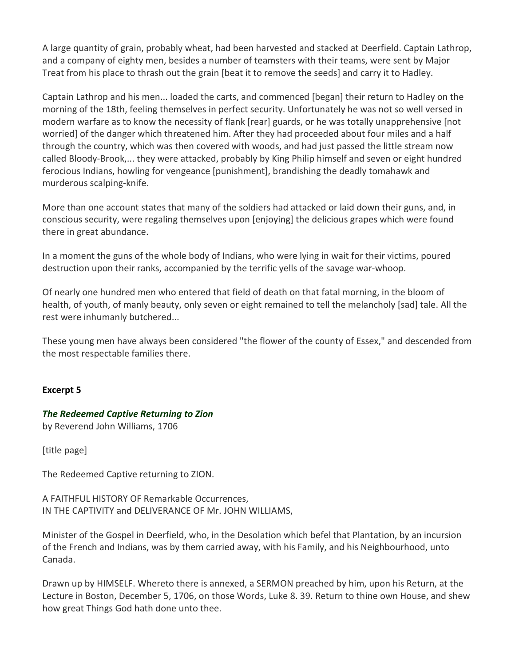A large quantity of grain, probably wheat, had been harvested and stacked at Deerfield. Captain Lathrop, and a company of eighty men, besides a number of teamsters with their teams, were sent by Major Treat from his place to thrash out the grain [beat it to remove the seeds] and carry it to Hadley.

Captain Lathrop and his men... loaded the carts, and commenced [began] their return to Hadley on the morning of the 18th, feeling themselves in perfect security. Unfortunately he was not so well versed in modern warfare as to know the necessity of flank [rear] guards, or he was totally unapprehensive [not worried] of the danger which threatened him. After they had proceeded about four miles and a half through the country, which was then covered with woods, and had just passed the little stream now called Bloody-Brook,... they were attacked, probably by King Philip himself and seven or eight hundred ferocious Indians, howling for vengeance [punishment], brandishing the deadly tomahawk and murderous scalping-knife.

More than one account states that many of the soldiers had attacked or laid down their guns, and, in conscious security, were regaling themselves upon [enjoying] the delicious grapes which were found there in great abundance.

In a moment the guns of the whole body of Indians, who were lying in wait for their victims, poured destruction upon their ranks, accompanied by the terrific yells of the savage war-whoop.

Of nearly one hundred men who entered that field of death on that fatal morning, in the bloom of health, of youth, of manly beauty, only seven or eight remained to tell the melancholy [sad] tale. All the rest were inhumanly butchered...

These young men have always been considered "the flower of the county of Essex," and descended from the most respectable families there.

### **Excerpt 5**

### *The Redeemed Captive Returning to Zion*

by Reverend John Williams, 1706

[title page]

The Redeemed Captive returning to ZION.

A FAITHFUL HISTORY OF Remarkable Occurrences, IN THE CAPTIVITY and DELIVERANCE OF Mr. JOHN WILLIAMS,

Minister of the Gospel in Deerfield, who, in the Desolation which befel that Plantation, by an incursion of the French and Indians, was by them carried away, with his Family, and his Neighbourhood, unto Canada.

Drawn up by HIMSELF. Whereto there is annexed, a SERMON preached by him, upon his Return, at the Lecture in Boston, December 5, 1706, on those Words, Luke 8. 39. Return to thine own House, and shew how great Things God hath done unto thee.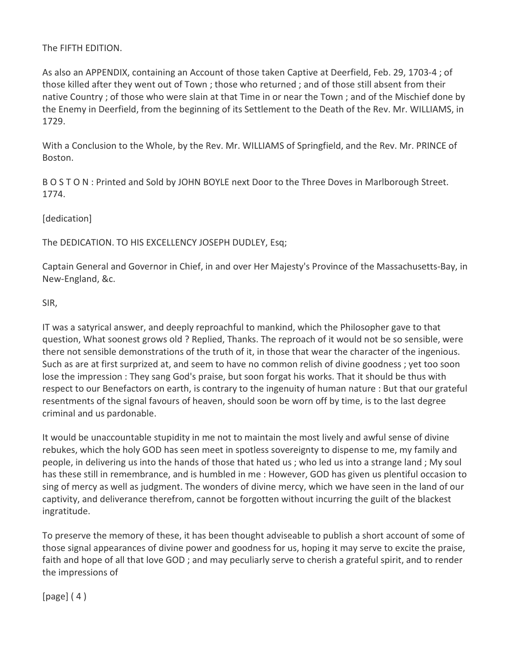### The FIFTH EDITION.

As also an APPENDIX, containing an Account of those taken Captive at Deerfield, Feb. 29, 1703-4 ; of those killed after they went out of Town ; those who returned ; and of those still absent from their native Country ; of those who were slain at that Time in or near the Town ; and of the Mischief done by the Enemy in Deerfield, from the beginning of its Settlement to the Death of the Rev. Mr. WILLIAMS, in 1729.

With a Conclusion to the Whole, by the Rev. Mr. WILLIAMS of Springfield, and the Rev. Mr. PRINCE of Boston.

B O S T O N : Printed and Sold by JOHN BOYLE next Door to the Three Doves in Marlborough Street. 1774.

[dedication]

The DEDICATION. TO HIS EXCELLENCY JOSEPH DUDLEY, Esq;

Captain General and Governor in Chief, in and over Her Majesty's Province of the Massachusetts-Bay, in New-England, &c.

SIR,

IT was a satyrical answer, and deeply reproachful to mankind, which the Philosopher gave to that question, What soonest grows old ? Replied, Thanks. The reproach of it would not be so sensible, were there not sensible demonstrations of the truth of it, in those that wear the character of the ingenious. Such as are at first surprized at, and seem to have no common relish of divine goodness ; yet too soon lose the impression : They sang God's praise, but soon forgat his works. That it should be thus with respect to our Benefactors on earth, is contrary to the ingenuity of human nature : But that our grateful resentments of the signal favours of heaven, should soon be worn off by time, is to the last degree criminal and us pardonable.

It would be unaccountable stupidity in me not to maintain the most lively and awful sense of divine rebukes, which the holy GOD has seen meet in spotless sovereignty to dispense to me, my family and people, in delivering us into the hands of those that hated us ; who led us into a strange land ; My soul has these still in remembrance, and is humbled in me : However, GOD has given us plentiful occasion to sing of mercy as well as judgment. The wonders of divine mercy, which we have seen in the land of our captivity, and deliverance therefrom, cannot be forgotten without incurring the guilt of the blackest ingratitude.

To preserve the memory of these, it has been thought adviseable to publish a short account of some of those signal appearances of divine power and goodness for us, hoping it may serve to excite the praise, faith and hope of all that love GOD ; and may peculiarly serve to cherish a grateful spirit, and to render the impressions of

[page] ( 4 )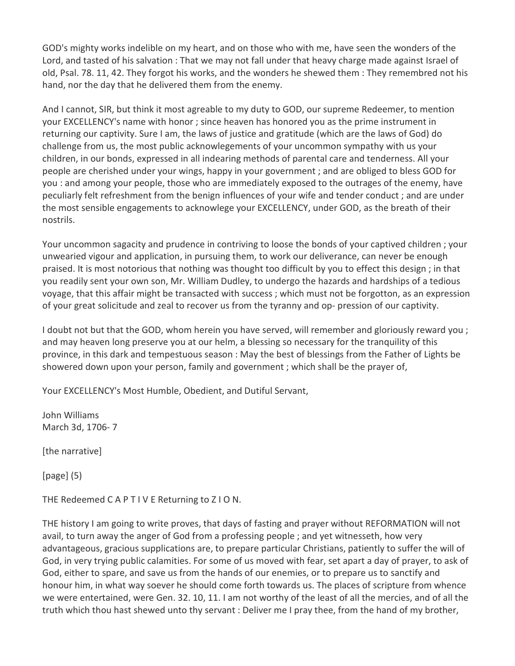GOD's mighty works indelible on my heart, and on those who with me, have seen the wonders of the Lord, and tasted of his salvation : That we may not fall under that heavy charge made against Israel of old, Psal. 78. 11, 42. They forgot his works, and the wonders he shewed them : They remembred not his hand, nor the day that he delivered them from the enemy.

And I cannot, SIR, but think it most agreable to my duty to GOD, our supreme Redeemer, to mention your EXCELLENCY's name with honor ; since heaven has honored you as the prime instrument in returning our captivity. Sure I am, the laws of justice and gratitude (which are the laws of God) do challenge from us, the most public acknowlegements of your uncommon sympathy with us your children, in our bonds, expressed in all indearing methods of parental care and tenderness. All your people are cherished under your wings, happy in your government ; and are obliged to bless GOD for you : and among your people, those who are immediately exposed to the outrages of the enemy, have peculiarly felt refreshment from the benign influences of your wife and tender conduct ; and are under the most sensible engagements to acknowlege your EXCELLENCY, under GOD, as the breath of their nostrils.

Your uncommon sagacity and prudence in contriving to loose the bonds of your captived children ; your unwearied vigour and application, in pursuing them, to work our deliverance, can never be enough praised. It is most notorious that nothing was thought too difficult by you to effect this design ; in that you readily sent your own son, Mr. William Dudley, to undergo the hazards and hardships of a tedious voyage, that this affair might be transacted with success ; which must not be forgotton, as an expression of your great solicitude and zeal to recover us from the tyranny and op- pression of our captivity.

I doubt not but that the GOD, whom herein you have served, will remember and gloriously reward you ; and may heaven long preserve you at our helm, a blessing so necessary for the tranquility of this province, in this dark and tempestuous season : May the best of blessings from the Father of Lights be showered down upon your person, family and government ; which shall be the prayer of,

Your EXCELLENCY's Most Humble, Obedient, and Dutiful Servant,

John Williams March 3d, 1706- 7

[the narrative]

[page] (5)

THE Redeemed C A P T I V E Returning to Z I O N.

THE history I am going to write proves, that days of fasting and prayer without REFORMATION will not avail, to turn away the anger of God from a professing people ; and yet witnesseth, how very advantageous, gracious supplications are, to prepare particular Christians, patiently to suffer the will of God, in very trying public calamities. For some of us moved with fear, set apart a day of prayer, to ask of God, either to spare, and save us from the hands of our enemies, or to prepare us to sanctify and honour him, in what way soever he should come forth towards us. The places of scripture from whence we were entertained, were Gen. 32. 10, 11. I am not worthy of the least of all the mercies, and of all the truth which thou hast shewed unto thy servant : Deliver me I pray thee, from the hand of my brother,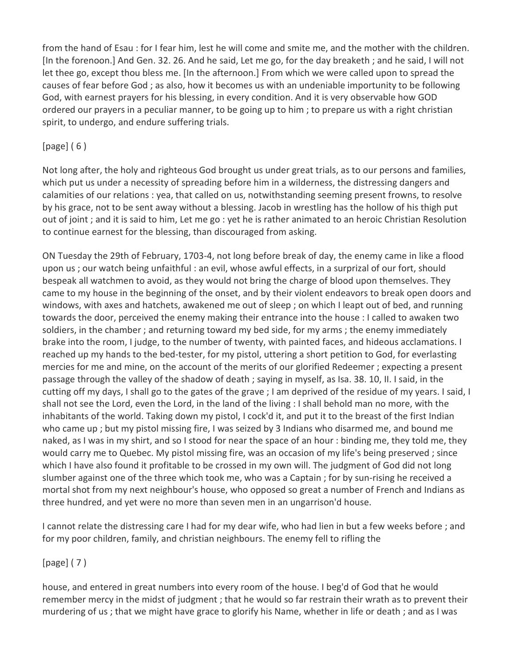from the hand of Esau : for I fear him, lest he will come and smite me, and the mother with the children. [In the forenoon.] And Gen. 32. 26. And he said, Let me go, for the day breaketh ; and he said, I will not let thee go, except thou bless me. [In the afternoon.] From which we were called upon to spread the causes of fear before God ; as also, how it becomes us with an undeniable importunity to be following God, with earnest prayers for his blessing, in every condition. And it is very observable how GOD ordered our prayers in a peculiar manner, to be going up to him ; to prepare us with a right christian spirit, to undergo, and endure suffering trials.

# [page] ( 6 )

Not long after, the holy and righteous God brought us under great trials, as to our persons and families, which put us under a necessity of spreading before him in a wilderness, the distressing dangers and calamities of our relations : yea, that called on us, notwithstanding seeming present frowns, to resolve by his grace, not to be sent away without a blessing. Jacob in wrestling has the hollow of his thigh put out of joint ; and it is said to him, Let me go : yet he is rather animated to an heroic Christian Resolution to continue earnest for the blessing, than discouraged from asking.

ON Tuesday the 29th of February, 1703-4, not long before break of day, the enemy came in like a flood upon us ; our watch being unfaithful : an evil, whose awful effects, in a surprizal of our fort, should bespeak all watchmen to avoid, as they would not bring the charge of blood upon themselves. They came to my house in the beginning of the onset, and by their violent endeavors to break open doors and windows, with axes and hatchets, awakened me out of sleep ; on which I leapt out of bed, and running towards the door, perceived the enemy making their entrance into the house : I called to awaken two soldiers, in the chamber ; and returning toward my bed side, for my arms ; the enemy immediately brake into the room, I judge, to the number of twenty, with painted faces, and hideous acclamations. I reached up my hands to the bed-tester, for my pistol, uttering a short petition to God, for everlasting mercies for me and mine, on the account of the merits of our glorified Redeemer ; expecting a present passage through the valley of the shadow of death ; saying in myself, as Isa. 38. 10, II. I said, in the cutting off my days, I shall go to the gates of the grave ; I am deprived of the residue of my years. I said, I shall not see the Lord, even the Lord, in the land of the living : I shall behold man no more, with the inhabitants of the world. Taking down my pistol, I cock'd it, and put it to the breast of the first Indian who came up ; but my pistol missing fire, I was seized by 3 Indians who disarmed me, and bound me naked, as I was in my shirt, and so I stood for near the space of an hour : binding me, they told me, they would carry me to Quebec. My pistol missing fire, was an occasion of my life's being preserved ; since which I have also found it profitable to be crossed in my own will. The judgment of God did not long slumber against one of the three which took me, who was a Captain ; for by sun-rising he received a mortal shot from my next neighbour's house, who opposed so great a number of French and Indians as three hundred, and yet were no more than seven men in an ungarrison'd house.

I cannot relate the distressing care I had for my dear wife, who had lien in but a few weeks before ; and for my poor children, family, and christian neighbours. The enemy fell to rifling the

### [page] ( 7 )

house, and entered in great numbers into every room of the house. I beg'd of God that he would remember mercy in the midst of judgment ; that he would so far restrain their wrath as to prevent their murdering of us ; that we might have grace to glorify his Name, whether in life or death ; and as I was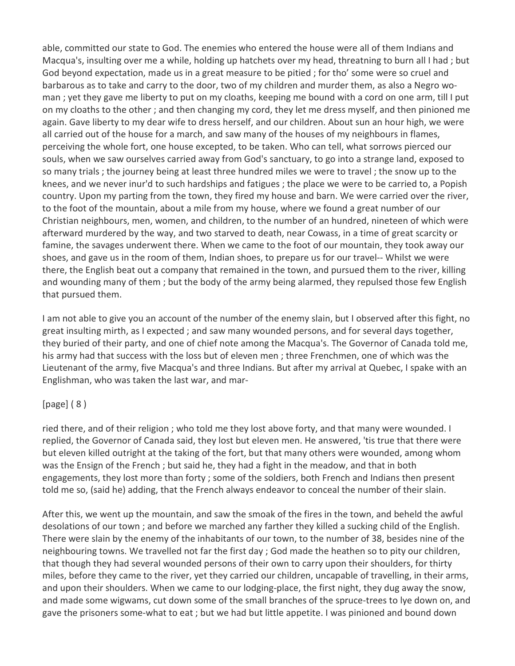able, committed our state to God. The enemies who entered the house were all of them Indians and Macqua's, insulting over me a while, holding up hatchets over my head, threatning to burn all I had ; but God beyond expectation, made us in a great measure to be pitied ; for tho' some were so cruel and barbarous as to take and carry to the door, two of my children and murder them, as also a Negro woman ; yet they gave me liberty to put on my cloaths, keeping me bound with a cord on one arm, till I put on my cloaths to the other ; and then changing my cord, they let me dress myself, and then pinioned me again. Gave liberty to my dear wife to dress herself, and our children. About sun an hour high, we were all carried out of the house for a march, and saw many of the houses of my neighbours in flames, perceiving the whole fort, one house excepted, to be taken. Who can tell, what sorrows pierced our souls, when we saw ourselves carried away from God's sanctuary, to go into a strange land, exposed to so many trials ; the journey being at least three hundred miles we were to travel ; the snow up to the knees, and we never inur'd to such hardships and fatigues ; the place we were to be carried to, a Popish country. Upon my parting from the town, they fired my house and barn. We were carried over the river, to the foot of the mountain, about a mile from my house, where we found a great number of our Christian neighbours, men, women, and children, to the number of an hundred, nineteen of which were afterward murdered by the way, and two starved to death, near Cowass, in a time of great scarcity or famine, the savages underwent there. When we came to the foot of our mountain, they took away our shoes, and gave us in the room of them, Indian shoes, to prepare us for our travel-- Whilst we were there, the English beat out a company that remained in the town, and pursued them to the river, killing and wounding many of them ; but the body of the army being alarmed, they repulsed those few English that pursued them.

I am not able to give you an account of the number of the enemy slain, but I observed after this fight, no great insulting mirth, as I expected ; and saw many wounded persons, and for several days together, they buried of their party, and one of chief note among the Macqua's. The Governor of Canada told me, his army had that success with the loss but of eleven men ; three Frenchmen, one of which was the Lieutenant of the army, five Macqua's and three Indians. But after my arrival at Quebec, I spake with an Englishman, who was taken the last war, and mar-

### [page] ( 8 )

ried there, and of their religion ; who told me they lost above forty, and that many were wounded. I replied, the Governor of Canada said, they lost but eleven men. He answered, 'tis true that there were but eleven killed outright at the taking of the fort, but that many others were wounded, among whom was the Ensign of the French ; but said he, they had a fight in the meadow, and that in both engagements, they lost more than forty ; some of the soldiers, both French and Indians then present told me so, (said he) adding, that the French always endeavor to conceal the number of their slain.

After this, we went up the mountain, and saw the smoak of the fires in the town, and beheld the awful desolations of our town ; and before we marched any farther they killed a sucking child of the English. There were slain by the enemy of the inhabitants of our town, to the number of 38, besides nine of the neighbouring towns. We travelled not far the first day ; God made the heathen so to pity our children, that though they had several wounded persons of their own to carry upon their shoulders, for thirty miles, before they came to the river, yet they carried our children, uncapable of travelling, in their arms, and upon their shoulders. When we came to our lodging-place, the first night, they dug away the snow, and made some wigwams, cut down some of the small branches of the spruce-trees to lye down on, and gave the prisoners some-what to eat ; but we had but little appetite. I was pinioned and bound down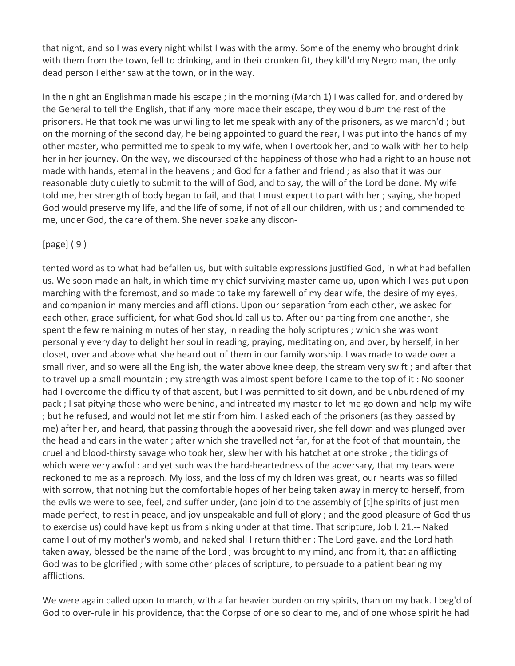that night, and so I was every night whilst I was with the army. Some of the enemy who brought drink with them from the town, fell to drinking, and in their drunken fit, they kill'd my Negro man, the only dead person I either saw at the town, or in the way.

In the night an Englishman made his escape ; in the morning (March 1) I was called for, and ordered by the General to tell the English, that if any more made their escape, they would burn the rest of the prisoners. He that took me was unwilling to let me speak with any of the prisoners, as we march'd ; but on the morning of the second day, he being appointed to guard the rear, I was put into the hands of my other master, who permitted me to speak to my wife, when I overtook her, and to walk with her to help her in her journey. On the way, we discoursed of the happiness of those who had a right to an house not made with hands, eternal in the heavens ; and God for a father and friend ; as also that it was our reasonable duty quietly to submit to the will of God, and to say, the will of the Lord be done. My wife told me, her strength of body began to fail, and that I must expect to part with her ; saying, she hoped God would preserve my life, and the life of some, if not of all our children, with us ; and commended to me, under God, the care of them. She never spake any discon-

### [page] ( 9 )

tented word as to what had befallen us, but with suitable expressions justified God, in what had befallen us. We soon made an halt, in which time my chief surviving master came up, upon which I was put upon marching with the foremost, and so made to take my farewell of my dear wife, the desire of my eyes, and companion in many mercies and afflictions. Upon our separation from each other, we asked for each other, grace sufficient, for what God should call us to. After our parting from one another, she spent the few remaining minutes of her stay, in reading the holy scriptures ; which she was wont personally every day to delight her soul in reading, praying, meditating on, and over, by herself, in her closet, over and above what she heard out of them in our family worship. I was made to wade over a small river, and so were all the English, the water above knee deep, the stream very swift ; and after that to travel up a small mountain ; my strength was almost spent before I came to the top of it : No sooner had I overcome the difficulty of that ascent, but I was permitted to sit down, and be unburdened of my pack ; I sat pitying those who were behind, and intreated my master to let me go down and help my wife ; but he refused, and would not let me stir from him. I asked each of the prisoners (as they passed by me) after her, and heard, that passing through the abovesaid river, she fell down and was plunged over the head and ears in the water ; after which she travelled not far, for at the foot of that mountain, the cruel and blood-thirsty savage who took her, slew her with his hatchet at one stroke ; the tidings of which were very awful : and yet such was the hard-heartedness of the adversary, that my tears were reckoned to me as a reproach. My loss, and the loss of my children was great, our hearts was so filled with sorrow, that nothing but the comfortable hopes of her being taken away in mercy to herself, from the evils we were to see, feel, and suffer under, (and join'd to the assembly of [t]he spirits of just men made perfect, to rest in peace, and joy unspeakable and full of glory ; and the good pleasure of God thus to exercise us) could have kept us from sinking under at that time. That scripture, Job I. 21.-- Naked came I out of my mother's womb, and naked shall I return thither : The Lord gave, and the Lord hath taken away, blessed be the name of the Lord ; was brought to my mind, and from it, that an afflicting God was to be glorified ; with some other places of scripture, to persuade to a patient bearing my afflictions.

We were again called upon to march, with a far heavier burden on my spirits, than on my back. I beg'd of God to over-rule in his providence, that the Corpse of one so dear to me, and of one whose spirit he had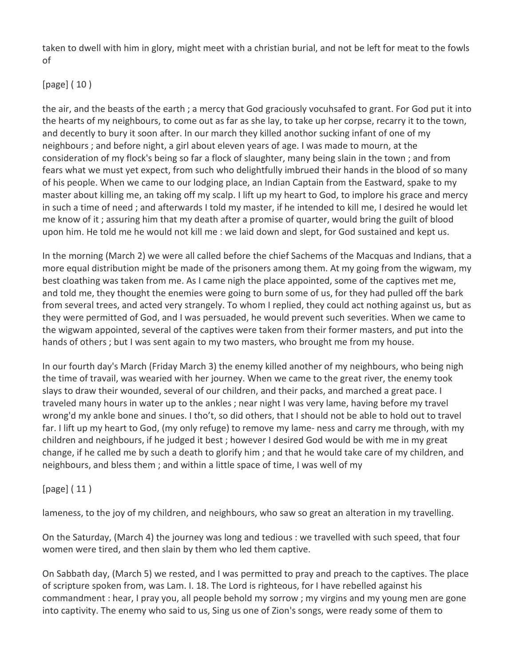taken to dwell with him in glory, might meet with a christian burial, and not be left for meat to the fowls of

# [page] ( 10 )

the air, and the beasts of the earth ; a mercy that God graciously vocuhsafed to grant. For God put it into the hearts of my neighbours, to come out as far as she lay, to take up her corpse, recarry it to the town, and decently to bury it soon after. In our march they killed anothor sucking infant of one of my neighbours ; and before night, a girl about eleven years of age. I was made to mourn, at the consideration of my flock's being so far a flock of slaughter, many being slain in the town ; and from fears what we must yet expect, from such who delightfully imbrued their hands in the blood of so many of his people. When we came to our lodging place, an Indian Captain from the Eastward, spake to my master about killing me, an taking off my scalp. I lift up my heart to God, to implore his grace and mercy in such a time of need ; and afterwards I told my master, if he intended to kill me, I desired he would let me know of it ; assuring him that my death after a promise of quarter, would bring the guilt of blood upon him. He told me he would not kill me : we laid down and slept, for God sustained and kept us.

In the morning (March 2) we were all called before the chief Sachems of the Macquas and Indians, that a more equal distribution might be made of the prisoners among them. At my going from the wigwam, my best cloathing was taken from me. As I came nigh the place appointed, some of the captives met me, and told me, they thought the enemies were going to burn some of us, for they had pulled off the bark from several trees, and acted very strangely. To whom I replied, they could act nothing against us, but as they were permitted of God, and I was persuaded, he would prevent such severities. When we came to the wigwam appointed, several of the captives were taken from their former masters, and put into the hands of others ; but I was sent again to my two masters, who brought me from my house.

In our fourth day's March (Friday March 3) the enemy killed another of my neighbours, who being nigh the time of travail, was wearied with her journey. When we came to the great river, the enemy took slays to draw their wounded, several of our children, and their packs, and marched a great pace. I traveled many hours in water up to the ankles ; near night I was very lame, having before my travel wrong'd my ankle bone and sinues. I tho't, so did others, that I should not be able to hold out to travel far. I lift up my heart to God, (my only refuge) to remove my lame- ness and carry me through, with my children and neighbours, if he judged it best ; however I desired God would be with me in my great change, if he called me by such a death to glorify him ; and that he would take care of my children, and neighbours, and bless them ; and within a little space of time, I was well of my

# [page] ( 11 )

lameness, to the joy of my children, and neighbours, who saw so great an alteration in my travelling.

On the Saturday, (March 4) the journey was long and tedious : we travelled with such speed, that four women were tired, and then slain by them who led them captive.

On Sabbath day, (March 5) we rested, and I was permitted to pray and preach to the captives. The place of scripture spoken from, was Lam. I. 18. The Lord is righteous, for I have rebelled against his commandment : hear, I pray you, all people behold my sorrow ; my virgins and my young men are gone into captivity. The enemy who said to us, Sing us one of Zion's songs, were ready some of them to